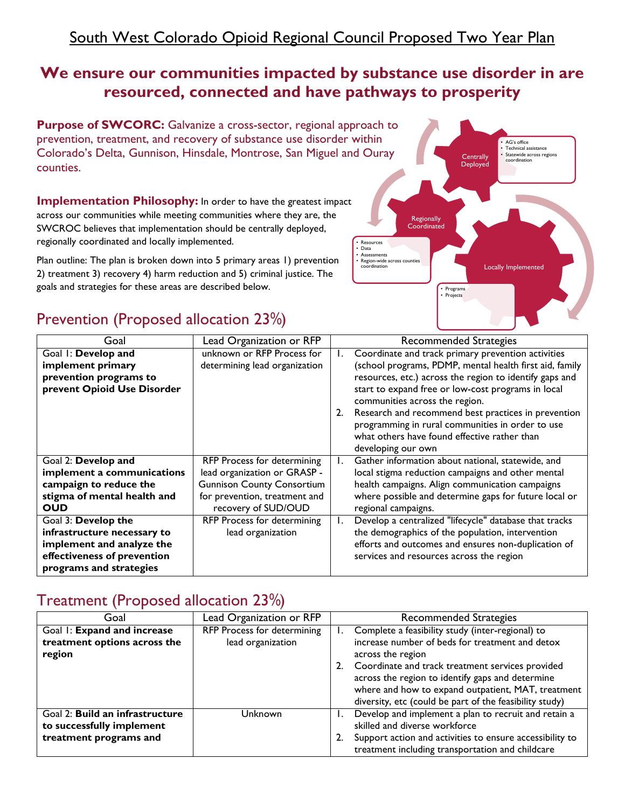## South West Colorado Opioid Regional Council Proposed Two Year Plan

## **We ensure our communities impacted by substance use disorder in are resourced, connected and have pathways to prosperity**

**Purpose of SWCORC:** Galvanize a cross-sector, regional ap prevention, treatment, and recovery of substance use disorder Colorado's Delta, Gunnison, Hinsdale, Montrose, San Miguel and counties.

**Implementation Philosophy:** In order to have the greatest impac across our communities while meeting communities where they are, the SWCROC believes that implementation should be centrally deployed, regionally coordinated and locally implemented.

Plan outline: The plan is broken down into 5 primary areas 1) prevention 2) treatment 3) recovery 4) harm reduction and 5) criminal justice. The goals and strategies for these areas are described below.

## Prevention (Proposed allocation 23%)

| proach to<br>within<br>nd Ouray                                                                         | Centrally<br>Deployed | · AG's office<br>• Technical assistance<br>· Statewide across regions<br>coordination |  |
|---------------------------------------------------------------------------------------------------------|-----------------------|---------------------------------------------------------------------------------------|--|
| :t<br>Regionally<br>Coordinated<br>Resources                                                            |                       |                                                                                       |  |
| · Data<br>• Assessments<br>• Region-wide across counties<br>coordination<br>Programs<br>٠<br>• Projects |                       | Locally Implemented                                                                   |  |

| Goal                        | Lead Organization or RFP          |    | Recommended Strategies                                  |
|-----------------------------|-----------------------------------|----|---------------------------------------------------------|
| Goal I: Develop and         | unknown or RFP Process for        | Ι. | Coordinate and track primary prevention activities      |
| implement primary           | determining lead organization     |    | (school programs, PDMP, mental health first aid, family |
| prevention programs to      |                                   |    | resources, etc.) across the region to identify gaps and |
| prevent Opioid Use Disorder |                                   |    | start to expand free or low-cost programs in local      |
|                             |                                   |    | communities across the region.                          |
|                             |                                   | 2. | Research and recommend best practices in prevention     |
|                             |                                   |    | programming in rural communities in order to use        |
|                             |                                   |    | what others have found effective rather than            |
|                             |                                   |    | developing our own                                      |
| Goal 2: Develop and         | RFP Process for determining       | I. | Gather information about national, statewide, and       |
| implement a communications  | lead organization or GRASP -      |    | local stigma reduction campaigns and other mental       |
| campaign to reduce the      | <b>Gunnison County Consortium</b> |    | health campaigns. Align communication campaigns         |
| stigma of mental health and | for prevention, treatment and     |    | where possible and determine gaps for future local or   |
| <b>OUD</b>                  | recovery of SUD/OUD               |    | regional campaigns.                                     |
| Goal 3: Develop the         | RFP Process for determining       | Ι. | Develop a centralized "lifecycle" database that tracks  |
| infrastructure necessary to | lead organization                 |    | the demographics of the population, intervention        |
| implement and analyze the   |                                   |    | efforts and outcomes and ensures non-duplication of     |
| effectiveness of prevention |                                   |    | services and resources across the region                |
| programs and strategies     |                                   |    |                                                         |

#### Treatment (Proposed allocation 23%)

| Goal                            | Lead Organization or RFP    | <b>Recommended Strategies</b>                            |
|---------------------------------|-----------------------------|----------------------------------------------------------|
| Goal I: Expand and increase     | RFP Process for determining | Complete a feasibility study (inter-regional) to         |
| treatment options across the    | lead organization           | increase number of beds for treatment and detox          |
| region                          |                             | across the region                                        |
|                                 |                             | Coordinate and track treatment services provided         |
|                                 |                             | across the region to identify gaps and determine         |
|                                 |                             | where and how to expand outpatient, MAT, treatment       |
|                                 |                             | diversity, etc (could be part of the feasibility study)  |
| Goal 2: Build an infrastructure | Unknown                     | Develop and implement a plan to recruit and retain a     |
| to successfully implement       |                             | skilled and diverse workforce                            |
| treatment programs and          |                             | Support action and activities to ensure accessibility to |
|                                 |                             | treatment including transportation and childcare         |